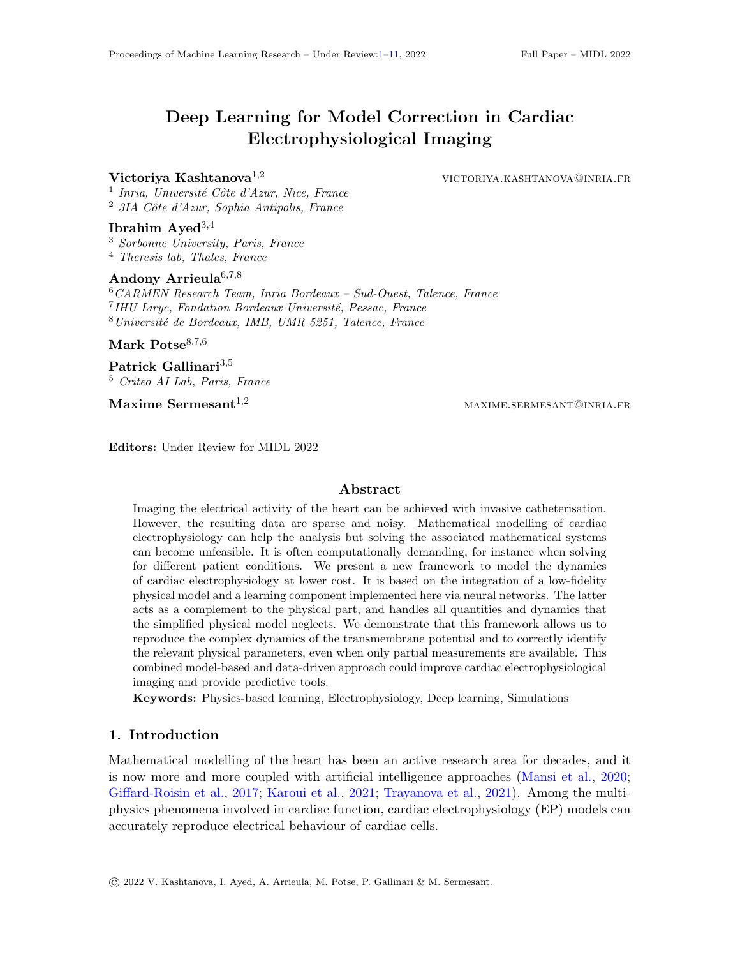# <span id="page-0-0"></span>Deep Learning for Model Correction in Cardiac Electrophysiological Imaging

#### Victoriya Kashtanova<sup>1,2</sup> victoriya.kashtanova<sup>1,2</sup>

<sup>1</sup> Inria, Université Côte d'Azur, Nice, France  $2$  3IA Côte d'Azur, Sophia Antipolis, France

## Ibrahim Ayed $3,4$

<sup>3</sup> Sorbonne University, Paris, France <sup>4</sup> Theresis lab, Thales, France

# Andony Arrieula<sup>6,7,8</sup>

<sup>6</sup>CARMEN Research Team, Inria Bordeaux – Sud-Ouest, Talence, France <sup>7</sup> IHU Liryc, Fondation Bordeaux Université, Pessac, France  $8$ Université de Bordeaux, IMB, UMR 5251, Talence, France

Mark Potse $8,7,6$ 

Patrick Gallinari<sup>3,5</sup> <sup>5</sup> Criteo AI Lab, Paris, France

 $\textbf{Maxime}$  Sermesant<sup>1,2</sup> maxime.sermesant<sup>1,2</sup> maxime.sermesant@inria.fr

Editors: Under Review for MIDL 2022

#### Abstract

Imaging the electrical activity of the heart can be achieved with invasive catheterisation. However, the resulting data are sparse and noisy. Mathematical modelling of cardiac electrophysiology can help the analysis but solving the associated mathematical systems can become unfeasible. It is often computationally demanding, for instance when solving for different patient conditions. We present a new framework to model the dynamics of cardiac electrophysiology at lower cost. It is based on the integration of a low-fidelity physical model and a learning component implemented here via neural networks. The latter acts as a complement to the physical part, and handles all quantities and dynamics that the simplified physical model neglects. We demonstrate that this framework allows us to reproduce the complex dynamics of the transmembrane potential and to correctly identify the relevant physical parameters, even when only partial measurements are available. This combined model-based and data-driven approach could improve cardiac electrophysiological imaging and provide predictive tools.

Keywords: Physics-based learning, Electrophysiology, Deep learning, Simulations

### 1. Introduction

Mathematical modelling of the heart has been an active research area for decades, and it is now more and more coupled with artificial intelligence approaches [\(Mansi et al.,](#page-9-0) [2020;](#page-9-0) [Giffard-Roisin et al.,](#page-8-0) [2017;](#page-8-0) [Karoui et al.,](#page-8-1) [2021;](#page-8-1) [Trayanova et al.,](#page-10-1) [2021\)](#page-10-1). Among the multiphysics phenomena involved in cardiac function, cardiac electrophysiology (EP) models can accurately reproduce electrical behaviour of cardiac cells.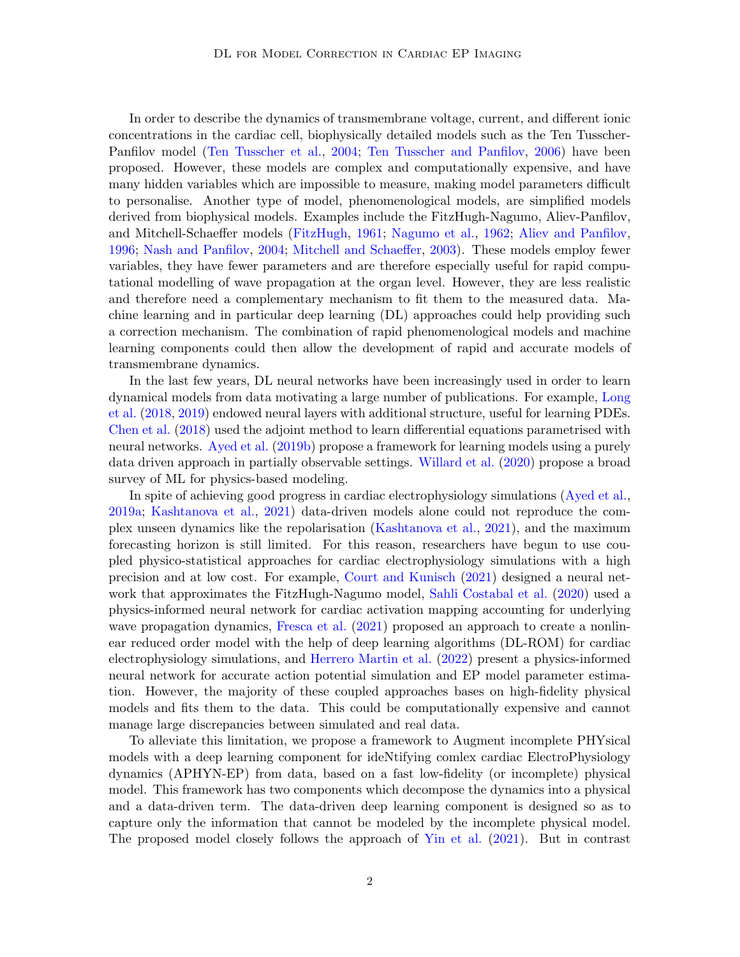In order to describe the dynamics of transmembrane voltage, current, and different ionic concentrations in the cardiac cell, biophysically detailed models such as the Ten Tusscher-Panfilov model [\(Ten Tusscher et al.,](#page-10-2) [2004;](#page-10-2) [Ten Tusscher and Panfilov,](#page-9-1) [2006\)](#page-9-1) have been proposed. However, these models are complex and computationally expensive, and have many hidden variables which are impossible to measure, making model parameters difficult to personalise. Another type of model, phenomenological models, are simplified models derived from biophysical models. Examples include the FitzHugh-Nagumo, Aliev-Panfilov, and Mitchell-Schaeffer models [\(FitzHugh,](#page-8-2) [1961;](#page-8-2) [Nagumo et al.,](#page-9-2) [1962;](#page-9-2) [Aliev and Panfilov,](#page-8-3) [1996;](#page-8-3) [Nash and Panfilov,](#page-9-3) [2004;](#page-9-3) [Mitchell and Schaeffer,](#page-9-4) [2003\)](#page-9-4). These models employ fewer variables, they have fewer parameters and are therefore especially useful for rapid computational modelling of wave propagation at the organ level. However, they are less realistic and therefore need a complementary mechanism to fit them to the measured data. Machine learning and in particular deep learning (DL) approaches could help providing such a correction mechanism. The combination of rapid phenomenological models and machine learning components could then allow the development of rapid and accurate models of transmembrane dynamics.

In the last few years, DL neural networks have been increasingly used in order to learn dynamical models from data motivating a large number of publications. For example, [Long](#page-9-5) [et al.](#page-9-5) [\(2018,](#page-9-5) [2019\)](#page-9-6) endowed neural layers with additional structure, useful for learning PDEs. [Chen et al.](#page-8-4) [\(2018\)](#page-8-4) used the adjoint method to learn differential equations parametrised with neural networks. [Ayed et al.](#page-8-5) [\(2019b\)](#page-8-5) propose a framework for learning models using a purely data driven approach in partially observable settings. [Willard et al.](#page-10-3) [\(2020\)](#page-10-3) propose a broad survey of ML for physics-based modeling.

In spite of achieving good progress in cardiac electrophysiology simulations [\(Ayed et al.,](#page-8-6) [2019a;](#page-8-6) [Kashtanova et al.,](#page-9-7) [2021\)](#page-9-7) data-driven models alone could not reproduce the complex unseen dynamics like the repolarisation [\(Kashtanova et al.,](#page-9-7) [2021\)](#page-9-7), and the maximum forecasting horizon is still limited. For this reason, researchers have begun to use coupled physico-statistical approaches for cardiac electrophysiology simulations with a high precision and at low cost. For example, [Court and Kunisch](#page-8-7) [\(2021\)](#page-8-7) designed a neural network that approximates the FitzHugh-Nagumo model, [Sahli Costabal et al.](#page-9-8) [\(2020\)](#page-9-8) used a physics-informed neural network for cardiac activation mapping accounting for underlying wave propagation dynamics, [Fresca et al.](#page-8-8) [\(2021\)](#page-8-8) proposed an approach to create a nonlinear reduced order model with the help of deep learning algorithms (DL-ROM) for cardiac electrophysiology simulations, and [Herrero Martin et al.](#page-8-9) [\(2022\)](#page-8-9) present a physics-informed neural network for accurate action potential simulation and EP model parameter estimation. However, the majority of these coupled approaches bases on high-fidelity physical models and fits them to the data. This could be computationally expensive and cannot manage large discrepancies between simulated and real data.

To alleviate this limitation, we propose a framework to Augment incomplete PHYsical models with a deep learning component for ideNtifying comlex cardiac ElectroPhysiology dynamics (APHYN-EP) from data, based on a fast low-fidelity (or incomplete) physical model. This framework has two components which decompose the dynamics into a physical and a data-driven term. The data-driven deep learning component is designed so as to capture only the information that cannot be modeled by the incomplete physical model. The proposed model closely follows the approach of [Yin et al.](#page-10-4) [\(2021\)](#page-10-4). But in contrast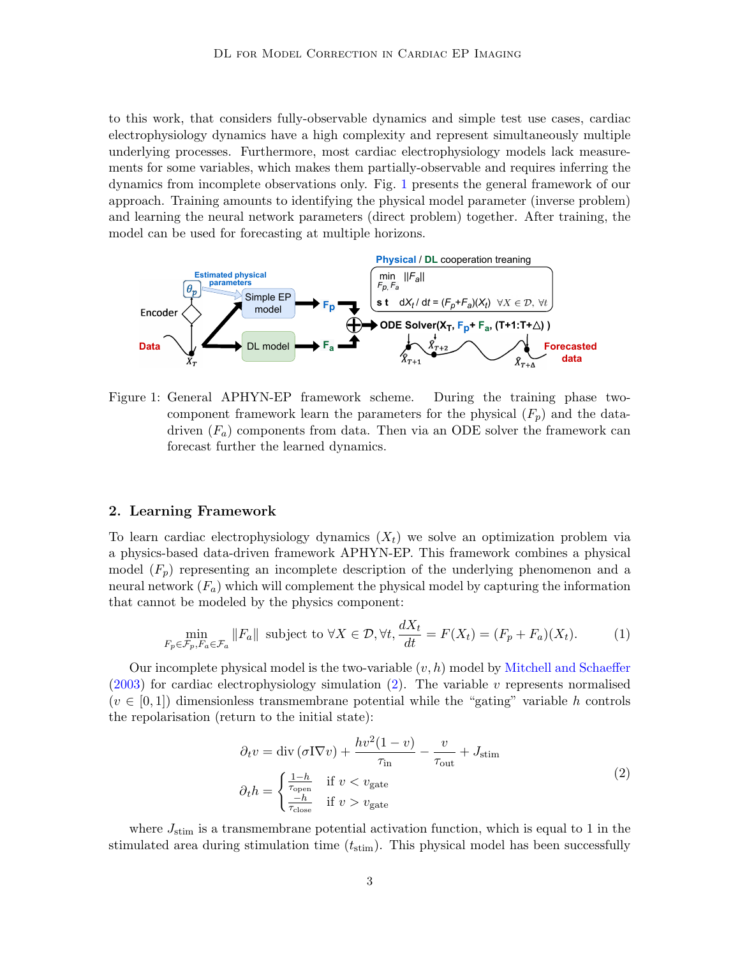to this work, that considers fully-observable dynamics and simple test use cases, cardiac electrophysiology dynamics have a high complexity and represent simultaneously multiple underlying processes. Furthermore, most cardiac electrophysiology models lack measurements for some variables, which makes them partially-observable and requires inferring the dynamics from incomplete observations only. Fig. [1](#page-2-0) presents the general framework of our approach. Training amounts to identifying the physical model parameter (inverse problem) and learning the neural network parameters (direct problem) together. After training, the model can be used for forecasting at multiple horizons.



<span id="page-2-0"></span>Figure 1: General APHYN-EP framework scheme. During the training phase twocomponent framework learn the parameters for the physical  $(F_p)$  and the datadriven  $(F_a)$  components from data. Then via an ODE solver the framework can forecast further the learned dynamics.

### 2. Learning Framework

To learn cardiac electrophysiology dynamics  $(X_t)$  we solve an optimization problem via a physics-based data-driven framework APHYN-EP. This framework combines a physical model  $(F_p)$  representing an incomplete description of the underlying phenomenon and a neural network  $(F_a)$  which will complement the physical model by capturing the information that cannot be modeled by the physics component:

<span id="page-2-2"></span>
$$
\min_{F_p \in \mathcal{F}_p, F_a \in \mathcal{F}_a} \|F_a\| \text{ subject to } \forall X \in \mathcal{D}, \forall t, \frac{dX_t}{dt} = F(X_t) = (F_p + F_a)(X_t). \tag{1}
$$

Our incomplete physical model is the two-variable  $(v, h)$  model by [Mitchell and Schaeffer](#page-9-4)  $(2003)$  for cardiac electrophysiology simulation  $(2)$ . The variable v represents normalised  $(v \in [0,1])$  dimensionless transmembrane potential while the "gating" variable h controls the repolarisation (return to the initial state):

$$
\partial_t v = \text{div}(\sigma \nabla v) + \frac{hv^2(1-v)}{\tau_{\text{in}}} - \frac{v}{\tau_{\text{out}}} + J_{\text{stim}}
$$

$$
\partial_t h = \begin{cases} \frac{1-h}{\tau_{\text{open}}} & \text{if } v < v_{\text{gate}} \\ \frac{-h}{\tau_{\text{close}}} & \text{if } v > v_{\text{gate}} \end{cases} \tag{2}
$$

<span id="page-2-1"></span>where  $J_{\text{stim}}$  is a transmembrane potential activation function, which is equal to 1 in the stimulated area during stimulation time  $(t_{\text{stim}})$ . This physical model has been successfully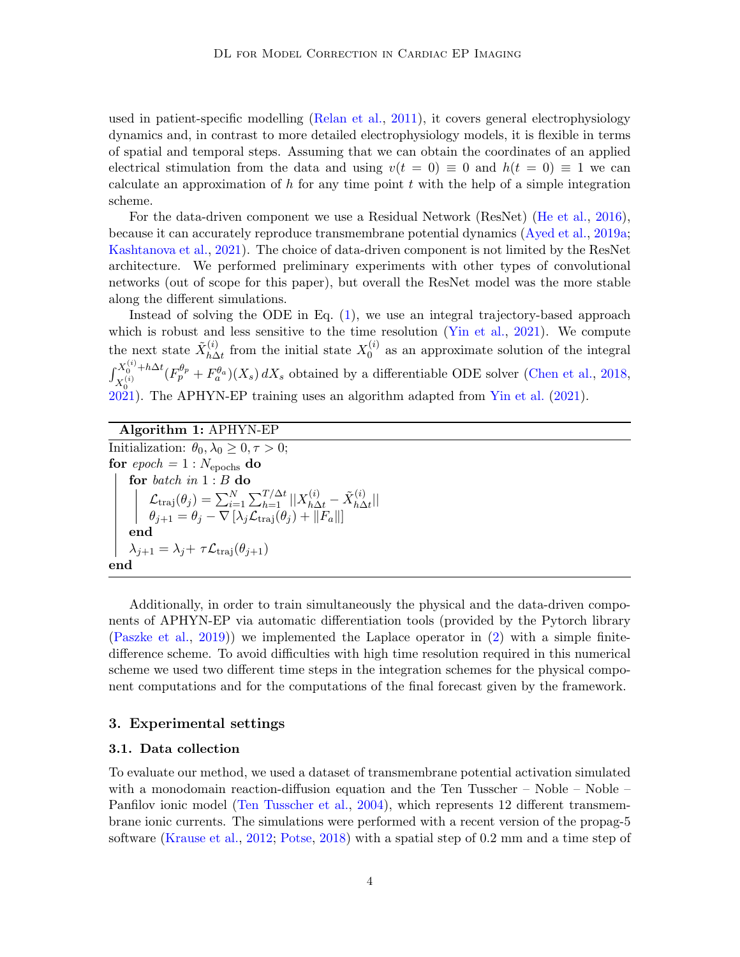used in patient-specific modelling [\(Relan et al.,](#page-9-9) [2011\)](#page-9-9), it covers general electrophysiology dynamics and, in contrast to more detailed electrophysiology models, it is flexible in terms of spatial and temporal steps. Assuming that we can obtain the coordinates of an applied electrical stimulation from the data and using  $v(t = 0) \equiv 0$  and  $h(t = 0) \equiv 1$  we can calculate an approximation of h for any time point t with the help of a simple integration scheme.

For the data-driven component we use a Residual Network (ResNet) [\(He et al.,](#page-8-10) [2016\)](#page-8-10), because it can accurately reproduce transmembrane potential dynamics [\(Ayed et al.,](#page-8-6) [2019a;](#page-8-6) [Kashtanova et al.,](#page-9-7) [2021\)](#page-9-7). The choice of data-driven component is not limited by the ResNet architecture. We performed preliminary experiments with other types of convolutional networks (out of scope for this paper), but overall the ResNet model was the more stable along the different simulations.

Instead of solving the ODE in Eq. [\(1\)](#page-2-2), we use an integral trajectory-based approach which is robust and less sensitive to the time resolution [\(Yin et al.,](#page-10-4) [2021\)](#page-10-4). We compute the next state  $\tilde{X}_{h\Delta}^{(i)}$  $\chi_{h\Delta t}^{(i)}$  from the initial state  $X_0^{(i)}$  $\binom{0}{0}$  as an approximate solution of the integral  $\int_{-a(i)}^{X_0^{(i)}+h\Delta t}$  $(X_0^{(i)} + h\Delta t (F_p^{\theta_p} + F_a^{\theta_a})(X_s) dX_s$  obtained by a differentiable ODE solver [\(Chen et al.,](#page-8-4) [2018,](#page-8-4)  $\frac{\lambda_0}{2021}$ . The APHYN-EP training uses an algorithm adapted from Yin et al. ([2021\)](#page-8-11).

### Algorithm 1: APHYN-EP

Initialization:  $\theta_0, \lambda_0 \geq 0, \tau > 0;$ for  $epoch = 1 : N_{epochs}$  do for batch in 1 : B do  $\mathcal{L}_{\text{traj}}(\theta_j) = \sum_{i=1}^N \sum_{h=1}^{T/\Delta t} ||X_{h\Delta t}^{(i)} - \tilde{X}_{h\Delta t}^{(i)}$  $\frac{u}{h\Delta t}$ ||  $\theta_{j+1} = \theta_j - \nabla \left[ \lambda_j \mathcal{L}_{\text{traj}}(\theta_j) + ||F_a|| \right]$ end  $\lambda_{j+1} = \lambda_j + \tau \mathcal{L}_{\text{traj}}(\theta_{j+1})$ end

Additionally, in order to train simultaneously the physical and the data-driven components of APHYN-EP via automatic differentiation tools (provided by the Pytorch library [\(Paszke et al.,](#page-9-10) [2019\)](#page-9-10)) we implemented the Laplace operator in  $(2)$  with a simple finitedifference scheme. To avoid difficulties with high time resolution required in this numerical scheme we used two different time steps in the integration schemes for the physical component computations and for the computations of the final forecast given by the framework.

#### 3. Experimental settings

#### <span id="page-3-0"></span>3.1. Data collection

To evaluate our method, we used a dataset of transmembrane potential activation simulated with a monodomain reaction-diffusion equation and the Ten Tusscher – Noble – Noble – Panfilov ionic model [\(Ten Tusscher et al.,](#page-10-2) [2004\)](#page-10-2), which represents 12 different transmembrane ionic currents. The simulations were performed with a recent version of the propag-5 software [\(Krause et al.,](#page-9-11) [2012;](#page-9-11) [Potse,](#page-9-12) [2018\)](#page-9-12) with a spatial step of 0.2 mm and a time step of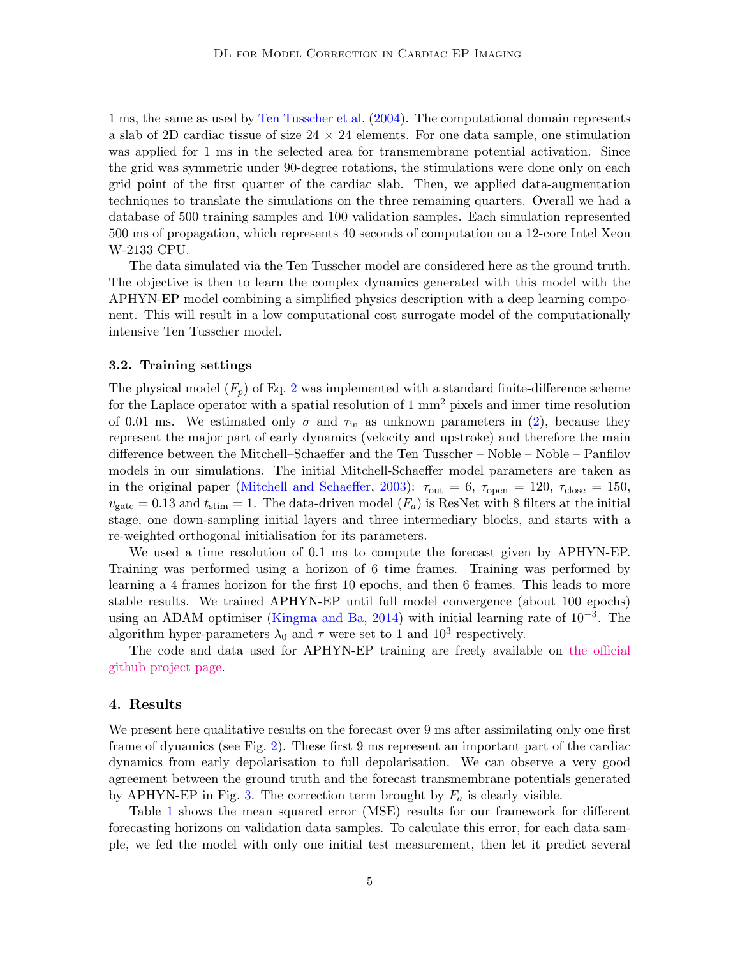1 ms, the same as used by [Ten Tusscher et al.](#page-10-2) [\(2004\)](#page-10-2). The computational domain represents a slab of 2D cardiac tissue of size  $24 \times 24$  elements. For one data sample, one stimulation was applied for 1 ms in the selected area for transmembrane potential activation. Since the grid was symmetric under 90-degree rotations, the stimulations were done only on each grid point of the first quarter of the cardiac slab. Then, we applied data-augmentation techniques to translate the simulations on the three remaining quarters. Overall we had a database of 500 training samples and 100 validation samples. Each simulation represented 500 ms of propagation, which represents 40 seconds of computation on a 12-core Intel Xeon W-2133 CPU.

The data simulated via the Ten Tusscher model are considered here as the ground truth. The objective is then to learn the complex dynamics generated with this model with the APHYN-EP model combining a simplified physics description with a deep learning component. This will result in a low computational cost surrogate model of the computationally intensive Ten Tusscher model.

#### 3.2. Training settings

The physical model  $(F_p)$  of Eq. [2](#page-2-1) was implemented with a standard finite-difference scheme for the Laplace operator with a spatial resolution of 1 mm<sup>2</sup> pixels and inner time resolution of 0.01 ms. We estimated only  $\sigma$  and  $\tau_{\text{in}}$  as unknown parameters in [\(2\)](#page-2-1), because they represent the major part of early dynamics (velocity and upstroke) and therefore the main difference between the Mitchell–Schaeffer and the Ten Tusscher – Noble – Noble – Panfilov models in our simulations. The initial Mitchell-Schaeffer model parameters are taken as in the original paper [\(Mitchell and Schaeffer,](#page-9-4) [2003\)](#page-9-4):  $\tau_{\text{out}} = 6$ ,  $\tau_{\text{open}} = 120$ ,  $\tau_{\text{close}} = 150$ ,  $v_{\text{gate}} = 0.13$  and  $t_{\text{stim}} = 1$ . The data-driven model  $(F_a)$  is ResNet with 8 filters at the initial stage, one down-sampling initial layers and three intermediary blocks, and starts with a re-weighted orthogonal initialisation for its parameters.

We used a time resolution of 0.1 ms to compute the forecast given by APHYN-EP. Training was performed using a horizon of 6 time frames. Training was performed by learning a 4 frames horizon for the first 10 epochs, and then 6 frames. This leads to more stable results. We trained APHYN-EP until full model convergence (about 100 epochs) using an ADAM optimiser [\(Kingma and Ba,](#page-9-13) [2014\)](#page-9-13) with initial learning rate of  $10^{-3}$ . The algorithm hyper-parameters  $\lambda_0$  and  $\tau$  were set to 1 and  $10^3$  respectively.

The code and data used for APHYN-EP training are freely available on [the official](https://github.com/Inria-Asclepios/APHYN-EP) [github project page.](https://github.com/Inria-Asclepios/APHYN-EP)

#### 4. Results

We present here qualitative results on the forecast over 9 ms after assimilating only one first frame of dynamics (see Fig. [2\)](#page-5-0). These first 9 ms represent an important part of the cardiac dynamics from early depolarisation to full depolarisation. We can observe a very good agreement between the ground truth and the forecast transmembrane potentials generated by APHYN-EP in Fig. [3.](#page-5-1) The correction term brought by  $F_a$  is clearly visible.

Table [1](#page-5-2) shows the mean squared error (MSE) results for our framework for different forecasting horizons on validation data samples. To calculate this error, for each data sample, we fed the model with only one initial test measurement, then let it predict several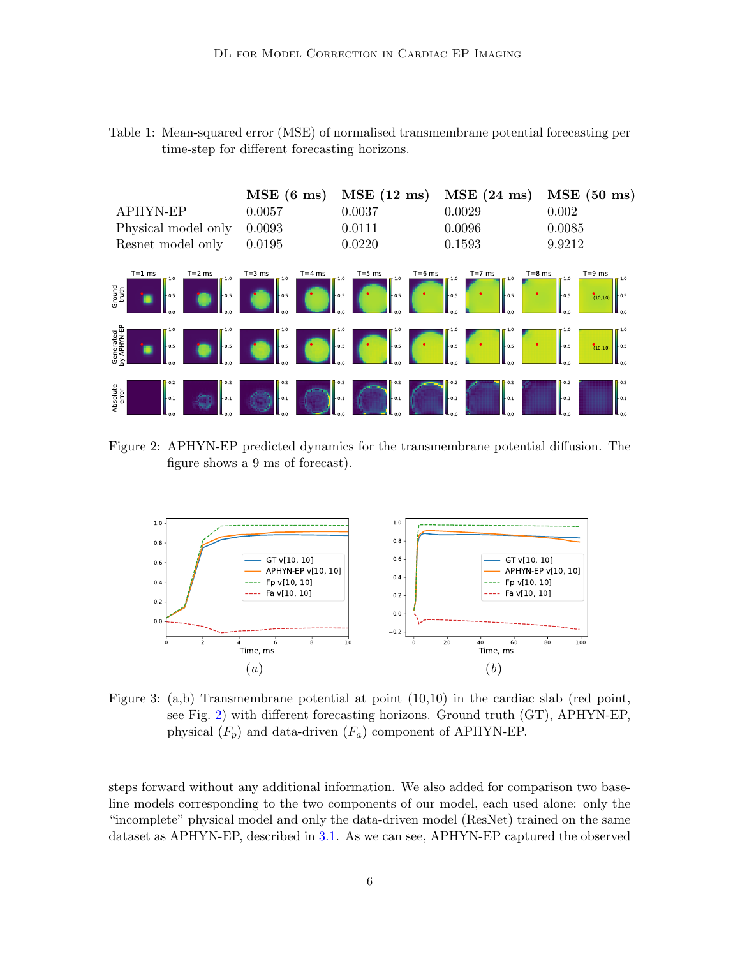<span id="page-5-2"></span>

| Table 1: Mean-squared error (MSE) of normalised transmembrane potential forecasting per |  |
|-----------------------------------------------------------------------------------------|--|
| time-step for different forecasting horizons.                                           |  |



<span id="page-5-0"></span>Figure 2: APHYN-EP predicted dynamics for the transmembrane potential diffusion. The figure shows a 9 ms of forecast).



<span id="page-5-1"></span>Figure 3: (a,b) Transmembrane potential at point (10,10) in the cardiac slab (red point, see Fig. [2\)](#page-5-0) with different forecasting horizons. Ground truth (GT), APHYN-EP, physical  $(F_p)$  and data-driven  $(F_a)$  component of APHYN-EP.

steps forward without any additional information. We also added for comparison two baseline models corresponding to the two components of our model, each used alone: only the "incomplete" physical model and only the data-driven model (ResNet) trained on the same dataset as APHYN-EP, described in [3.1.](#page-3-0) As we can see, APHYN-EP captured the observed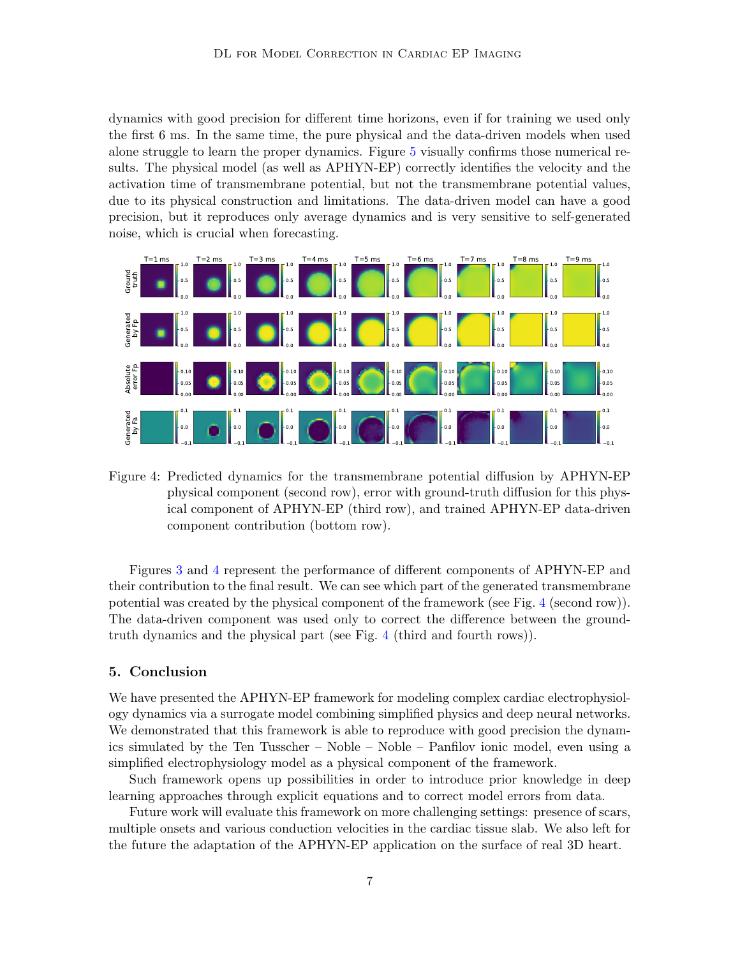dynamics with good precision for different time horizons, even if for training we used only the first 6 ms. In the same time, the pure physical and the data-driven models when used alone struggle to learn the proper dynamics. Figure [5](#page-7-0) visually confirms those numerical results. The physical model (as well as APHYN-EP) correctly identifies the velocity and the activation time of transmembrane potential, but not the transmembrane potential values, due to its physical construction and limitations. The data-driven model can have a good precision, but it reproduces only average dynamics and is very sensitive to self-generated noise, which is crucial when forecasting.



<span id="page-6-0"></span>Figure 4: Predicted dynamics for the transmembrane potential diffusion by APHYN-EP physical component (second row), error with ground-truth diffusion for this physical component of APHYN-EP (third row), and trained APHYN-EP data-driven component contribution (bottom row).

Figures [3](#page-5-1) and [4](#page-6-0) represent the performance of different components of APHYN-EP and their contribution to the final result. We can see which part of the generated transmembrane potential was created by the physical component of the framework (see Fig. [4](#page-6-0) (second row)). The data-driven component was used only to correct the difference between the groundtruth dynamics and the physical part (see Fig. [4](#page-6-0) (third and fourth rows)).

#### 5. Conclusion

We have presented the APHYN-EP framework for modeling complex cardiac electrophysiology dynamics via a surrogate model combining simplified physics and deep neural networks. We demonstrated that this framework is able to reproduce with good precision the dynamics simulated by the Ten Tusscher – Noble – Noble – Panfilov ionic model, even using a simplified electrophysiology model as a physical component of the framework.

Such framework opens up possibilities in order to introduce prior knowledge in deep learning approaches through explicit equations and to correct model errors from data.

Future work will evaluate this framework on more challenging settings: presence of scars, multiple onsets and various conduction velocities in the cardiac tissue slab. We also left for the future the adaptation of the APHYN-EP application on the surface of real 3D heart.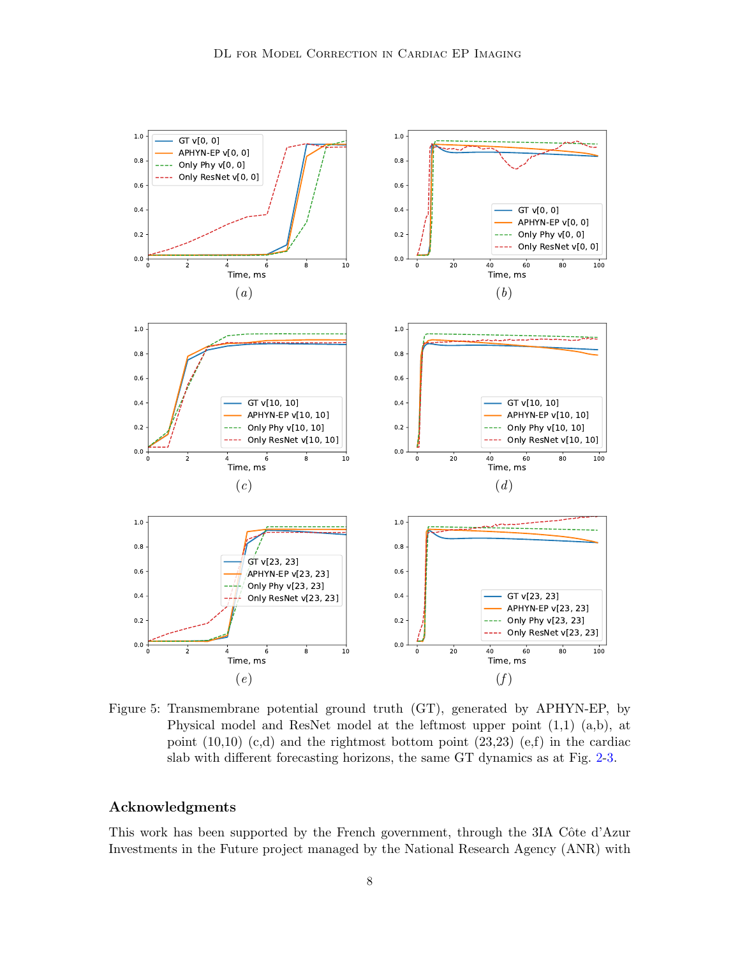

<span id="page-7-0"></span>Figure 5: Transmembrane potential ground truth (GT), generated by APHYN-EP, by Physical model and ResNet model at the leftmost upper point (1,1) (a,b), at point  $(10,10)$   $(c,d)$  and the rightmost bottom point  $(23,23)$   $(e,f)$  in the cardiac slab with different forecasting horizons, the same GT dynamics as at Fig. [2-](#page-5-0)[3.](#page-5-1)

### Acknowledgments

This work has been supported by the French government, through the 3IA Côte d'Azur Investments in the Future project managed by the National Research Agency (ANR) with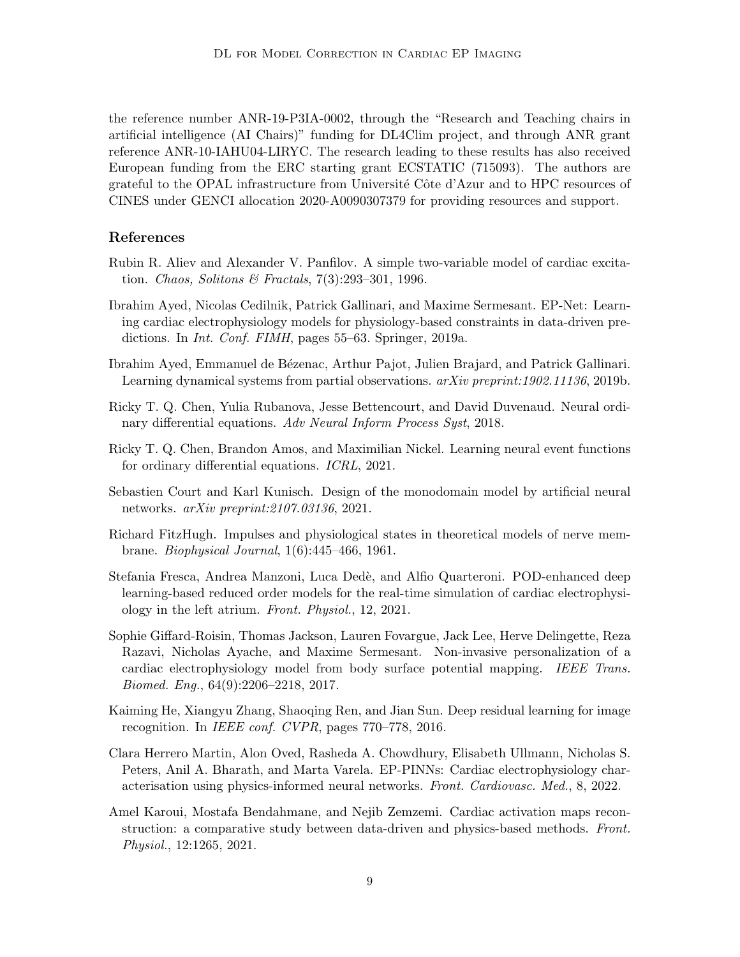the reference number ANR-19-P3IA-0002, through the "Research and Teaching chairs in artificial intelligence (AI Chairs)" funding for DL4Clim project, and through ANR grant reference ANR-10-IAHU04-LIRYC. The research leading to these results has also received European funding from the ERC starting grant ECSTATIC (715093). The authors are grateful to the OPAL infrastructure from Université Côte d'Azur and to HPC resources of CINES under GENCI allocation 2020-A0090307379 for providing resources and support.

#### References

- <span id="page-8-3"></span>Rubin R. Aliev and Alexander V. Panfilov. A simple two-variable model of cardiac excitation. Chaos, Solitons & Fractals, 7(3):293–301, 1996.
- <span id="page-8-6"></span>Ibrahim Ayed, Nicolas Cedilnik, Patrick Gallinari, and Maxime Sermesant. EP-Net: Learning cardiac electrophysiology models for physiology-based constraints in data-driven predictions. In Int. Conf. FIMH, pages 55–63. Springer, 2019a.
- <span id="page-8-5"></span>Ibrahim Ayed, Emmanuel de Bézenac, Arthur Pajot, Julien Brajard, and Patrick Gallinari. Learning dynamical systems from partial observations. arXiv preprint:1902.11136, 2019b.
- <span id="page-8-4"></span>Ricky T. Q. Chen, Yulia Rubanova, Jesse Bettencourt, and David Duvenaud. Neural ordinary differential equations. Adv Neural Inform Process Syst, 2018.
- <span id="page-8-11"></span>Ricky T. Q. Chen, Brandon Amos, and Maximilian Nickel. Learning neural event functions for ordinary differential equations. ICRL, 2021.
- <span id="page-8-7"></span>Sebastien Court and Karl Kunisch. Design of the monodomain model by artificial neural networks. arXiv preprint:2107.03136, 2021.
- <span id="page-8-2"></span>Richard FitzHugh. Impulses and physiological states in theoretical models of nerve membrane. Biophysical Journal, 1(6):445–466, 1961.
- <span id="page-8-8"></span>Stefania Fresca, Andrea Manzoni, Luca Dedè, and Alfio Quarteroni. POD-enhanced deep learning-based reduced order models for the real-time simulation of cardiac electrophysiology in the left atrium. Front. Physiol., 12, 2021.
- <span id="page-8-0"></span>Sophie Giffard-Roisin, Thomas Jackson, Lauren Fovargue, Jack Lee, Herve Delingette, Reza Razavi, Nicholas Ayache, and Maxime Sermesant. Non-invasive personalization of a cardiac electrophysiology model from body surface potential mapping. IEEE Trans. Biomed. Eng., 64(9):2206–2218, 2017.
- <span id="page-8-10"></span>Kaiming He, Xiangyu Zhang, Shaoqing Ren, and Jian Sun. Deep residual learning for image recognition. In IEEE conf. CVPR, pages 770–778, 2016.
- <span id="page-8-9"></span>Clara Herrero Martin, Alon Oved, Rasheda A. Chowdhury, Elisabeth Ullmann, Nicholas S. Peters, Anil A. Bharath, and Marta Varela. EP-PINNs: Cardiac electrophysiology characterisation using physics-informed neural networks. Front. Cardiovasc. Med., 8, 2022.
- <span id="page-8-1"></span>Amel Karoui, Mostafa Bendahmane, and Nejib Zemzemi. Cardiac activation maps reconstruction: a comparative study between data-driven and physics-based methods. Front. Physiol., 12:1265, 2021.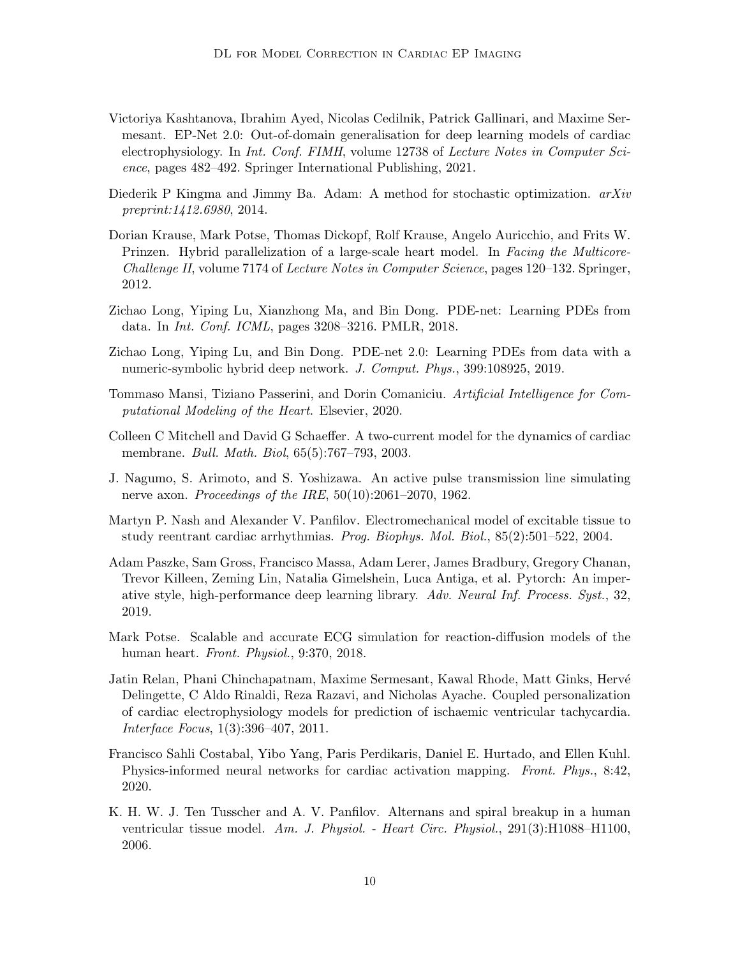- <span id="page-9-7"></span>Victoriya Kashtanova, Ibrahim Ayed, Nicolas Cedilnik, Patrick Gallinari, and Maxime Sermesant. EP-Net 2.0: Out-of-domain generalisation for deep learning models of cardiac electrophysiology. In Int. Conf. FIMH, volume 12738 of Lecture Notes in Computer Science, pages 482–492. Springer International Publishing, 2021.
- <span id="page-9-13"></span>Diederik P Kingma and Jimmy Ba. Adam: A method for stochastic optimization.  $arXiv$ preprint:1412.6980, 2014.
- <span id="page-9-11"></span>Dorian Krause, Mark Potse, Thomas Dickopf, Rolf Krause, Angelo Auricchio, and Frits W. Prinzen. Hybrid parallelization of a large-scale heart model. In Facing the Multicore-Challenge II, volume 7174 of Lecture Notes in Computer Science, pages 120–132. Springer, 2012.
- <span id="page-9-5"></span>Zichao Long, Yiping Lu, Xianzhong Ma, and Bin Dong. PDE-net: Learning PDEs from data. In Int. Conf. ICML, pages 3208–3216. PMLR, 2018.
- <span id="page-9-6"></span>Zichao Long, Yiping Lu, and Bin Dong. PDE-net 2.0: Learning PDEs from data with a numeric-symbolic hybrid deep network. J. Comput. Phys., 399:108925, 2019.
- <span id="page-9-0"></span>Tommaso Mansi, Tiziano Passerini, and Dorin Comaniciu. Artificial Intelligence for Computational Modeling of the Heart. Elsevier, 2020.
- <span id="page-9-4"></span>Colleen C Mitchell and David G Schaeffer. A two-current model for the dynamics of cardiac membrane. Bull. Math. Biol, 65(5):767–793, 2003.
- <span id="page-9-2"></span>J. Nagumo, S. Arimoto, and S. Yoshizawa. An active pulse transmission line simulating nerve axon. *Proceedings of the IRE*,  $50(10):2061-2070$ , 1962.
- <span id="page-9-3"></span>Martyn P. Nash and Alexander V. Panfilov. Electromechanical model of excitable tissue to study reentrant cardiac arrhythmias. Prog. Biophys. Mol. Biol., 85(2):501–522, 2004.
- <span id="page-9-10"></span>Adam Paszke, Sam Gross, Francisco Massa, Adam Lerer, James Bradbury, Gregory Chanan, Trevor Killeen, Zeming Lin, Natalia Gimelshein, Luca Antiga, et al. Pytorch: An imperative style, high-performance deep learning library. Adv. Neural Inf. Process. Syst., 32, 2019.
- <span id="page-9-12"></span>Mark Potse. Scalable and accurate ECG simulation for reaction-diffusion models of the human heart. Front. Physiol., 9:370, 2018.
- <span id="page-9-9"></span>Jatin Relan, Phani Chinchapatnam, Maxime Sermesant, Kawal Rhode, Matt Ginks, Hervé Delingette, C Aldo Rinaldi, Reza Razavi, and Nicholas Ayache. Coupled personalization of cardiac electrophysiology models for prediction of ischaemic ventricular tachycardia. Interface Focus, 1(3):396–407, 2011.
- <span id="page-9-8"></span>Francisco Sahli Costabal, Yibo Yang, Paris Perdikaris, Daniel E. Hurtado, and Ellen Kuhl. Physics-informed neural networks for cardiac activation mapping. Front. Phys., 8:42, 2020.
- <span id="page-9-1"></span>K. H. W. J. Ten Tusscher and A. V. Panfilov. Alternans and spiral breakup in a human ventricular tissue model. Am. J. Physiol. - Heart Circ. Physiol., 291(3):H1088–H1100, 2006.